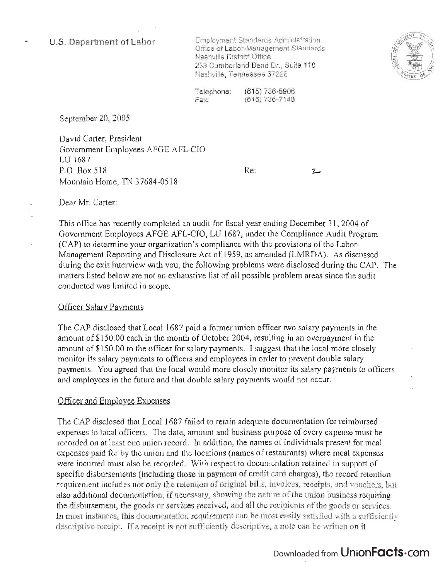### **U.S. Department of Labor**

Employment Standards Administration mployment Standards Administration<br>... Office of Labor-Management Standards Nashville District Office 233 Cumberland Bend Dr., Suite 110<br>Nashville, Tennessee 37228



Telephone: Fax: (615) 736-5906 15) 736-5906

September 20, 2005

David Carter, President  $G$ vid Carler, Fresheim  $O$  VCHILIUI  $\Omega$   $D_{\text{ext}}$   $\Omega$   $D_{\text{ext}}$   $\Omega$   $D_{\text{ext}}$   $\Omega$   $D_{\text{ext}}$   $D_{\text{ext}}$   $D_{\text{ext}}$   $D_{\text{ext}}$   $D_{\text{ext}}$ P.O. Box 518<br>Mountain Home, TN 37684-0518

 $2-$ 

Dear Mr. Carter:

This office has recently completed an audit for fiscal year ending December 31 , 2004 of  $G$  is order that recently completed an addit for its car year change becomed,  $J_1$ , 2004 order  $\alpha$ CAP) to determine your organization  $\alpha$  compliance  $\alpha$  and  $\alpha$  and  $\alpha$  and  $\alpha$  and  $\alpha$  and  $\alpha$  and  $\alpha$ -(CAP) to determine your organization's compliance with the provisions of the Labor-<br>Management Reporting and Disclosure Act of 1959, as amended (LMRDA). As discussed during the exit interview with you, the following problems were disclosed during the CAP. The matters listed below are not an exhaustive list of all possible problem areas since the audit conducted was limited in scope.

#### Officer Salaty Payments

The CAP disclosed that Local 1687 paid a former union officer two salary payments in the amount of \$150.00 each in the month of October 2004, resulting in an overpayment in the amount of \$150.00 to the officer for salary payments. I suggest that the local more closely monitor its salary payments to officers and employees in order to prevent double salary payments. You agreed that the local would more closely monitor its salary payments to officers and employees in the future and that double salary payments would not occur.

## Officer and Employee Expenses

The CAP disclosed that Local 1687 failed to retain adequate documentation for reimbursed expenses to local officers. The date, amount and business purpose of every expense must be recorded on at least one union record. In addition, the names of individuals present for meal expenses paid for by the union and the locations (names of restaurants) where meal expenses were incurred must also be recorded. With respect to documentation retained in support of specific disbursements (including those in payment of credit card charges), the record retention requirement includes not only the retention of original bills, invoices, receipts, and vouchers, but also additional documentation, if necessary, showing the nature of the union business requiring the disbursement, the goods or services received, and all the recipients of the goods or services. In most instances, this documentation requirement can be most easily satisfied with a sufficiently descriptive receipt. If a receipt is not sufficiently descriptive, a note can be written on it

# Downloaded from UnionFacts.com